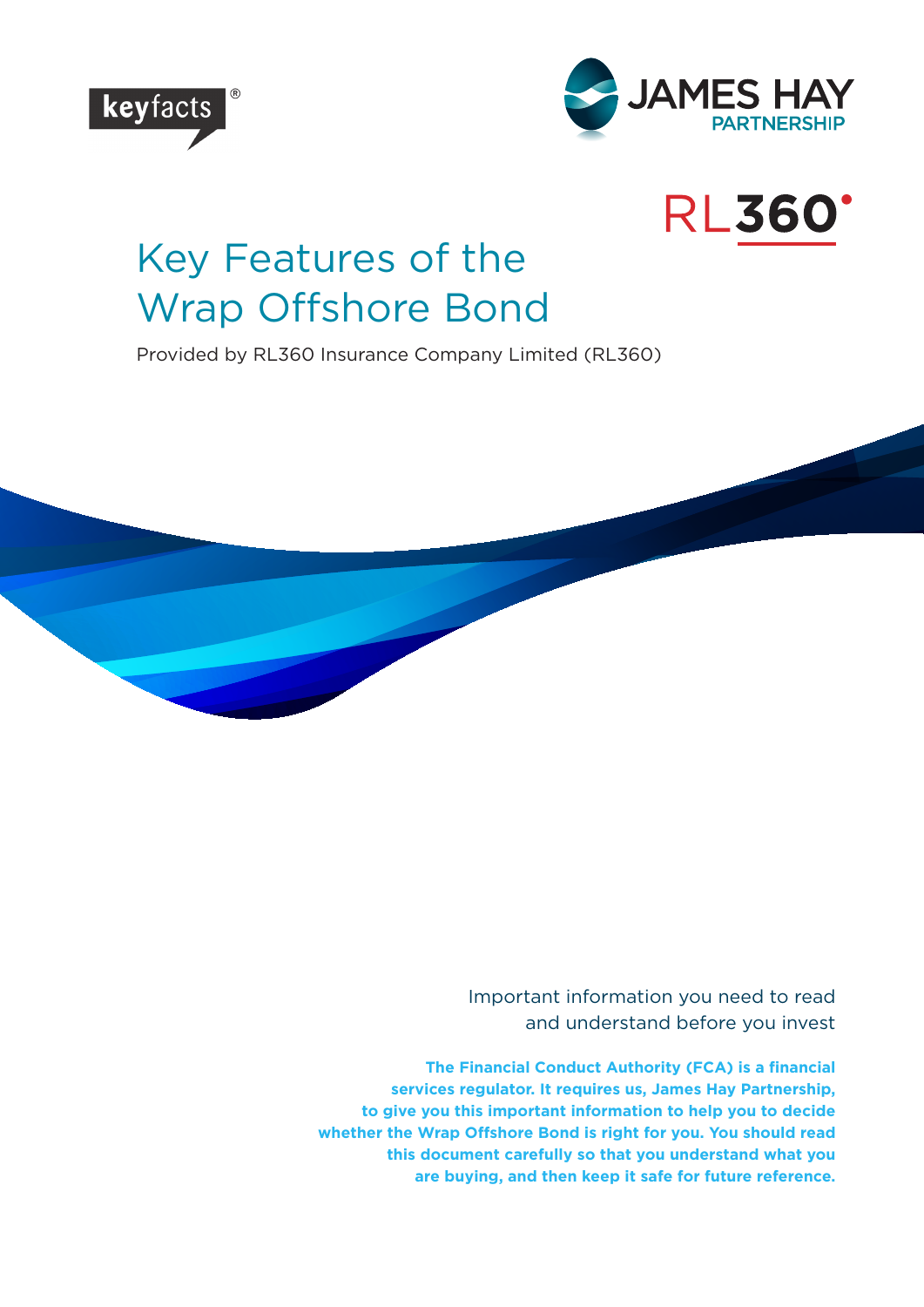



# **RL360'**

# Key Features of the Wrap Offshore Bond

Provided by RL360 Insurance Company Limited (RL360)

Important information you need to read and understand before you invest

**The Financial Conduct Authority (FCA) is a financial services regulator. It requires us, James Hay Partnership, to give you this important information to help you to decide whether the Wrap Offshore Bond is right for you. You should read this document carefully so that you understand what you are buying, and then keep it safe for future reference.**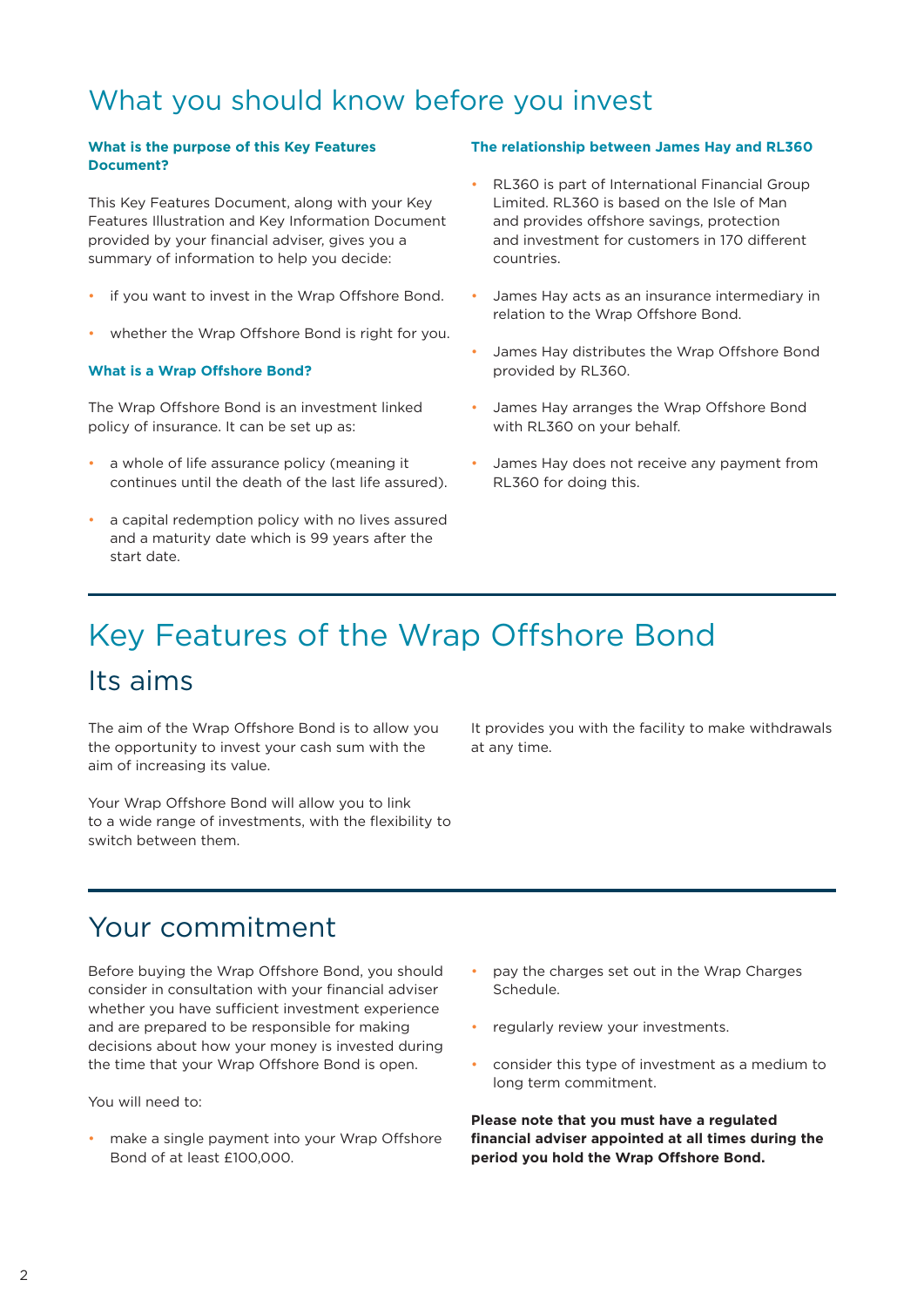# What you should know before you invest

#### **What is the purpose of this Key Features Document?**

This Key Features Document, along with your Key Features Illustration and Key Information Document provided by your financial adviser, gives you a summary of information to help you decide:

- if you want to invest in the Wrap Offshore Bond.
- whether the Wrap Offshore Bond is right for you.

#### **What is a Wrap Offshore Bond?**

The Wrap Offshore Bond is an investment linked policy of insurance. It can be set up as:

- a whole of life assurance policy (meaning it continues until the death of the last life assured).
- a capital redemption policy with no lives assured and a maturity date which is 99 years after the start date.

#### **The relationship between James Hay and RL360**

- RL360 is part of International Financial Group Limited. RL360 is based on the Isle of Man and provides offshore savings, protection and investment for customers in 170 different countries.
- James Hay acts as an insurance intermediary in relation to the Wrap Offshore Bond.
- James Hay distributes the Wrap Offshore Bond provided by RL360.
- James Hay arranges the Wrap Offshore Bond with RL360 on your behalf.
- James Hay does not receive any payment from RL360 for doing this.

# Its aims Key Features of the Wrap Offshore Bond

The aim of the Wrap Offshore Bond is to allow you the opportunity to invest your cash sum with the aim of increasing its value.

Your Wrap Offshore Bond will allow you to link to a wide range of investments, with the flexibility to switch between them.

It provides you with the facility to make withdrawals at any time.

## Your commitment

Before buying the Wrap Offshore Bond, you should consider in consultation with your financial adviser whether you have sufficient investment experience and are prepared to be responsible for making decisions about how your money is invested during the time that your Wrap Offshore Bond is open.

You will need to:

make a single payment into your Wrap Offshore Bond of at least £100,000.

- pay the charges set out in the Wrap Charges Schedule.
- regularly review your investments.
- consider this type of investment as a medium to long term commitment.

**Please note that you must have a regulated financial adviser appointed at all times during the period you hold the Wrap Offshore Bond.**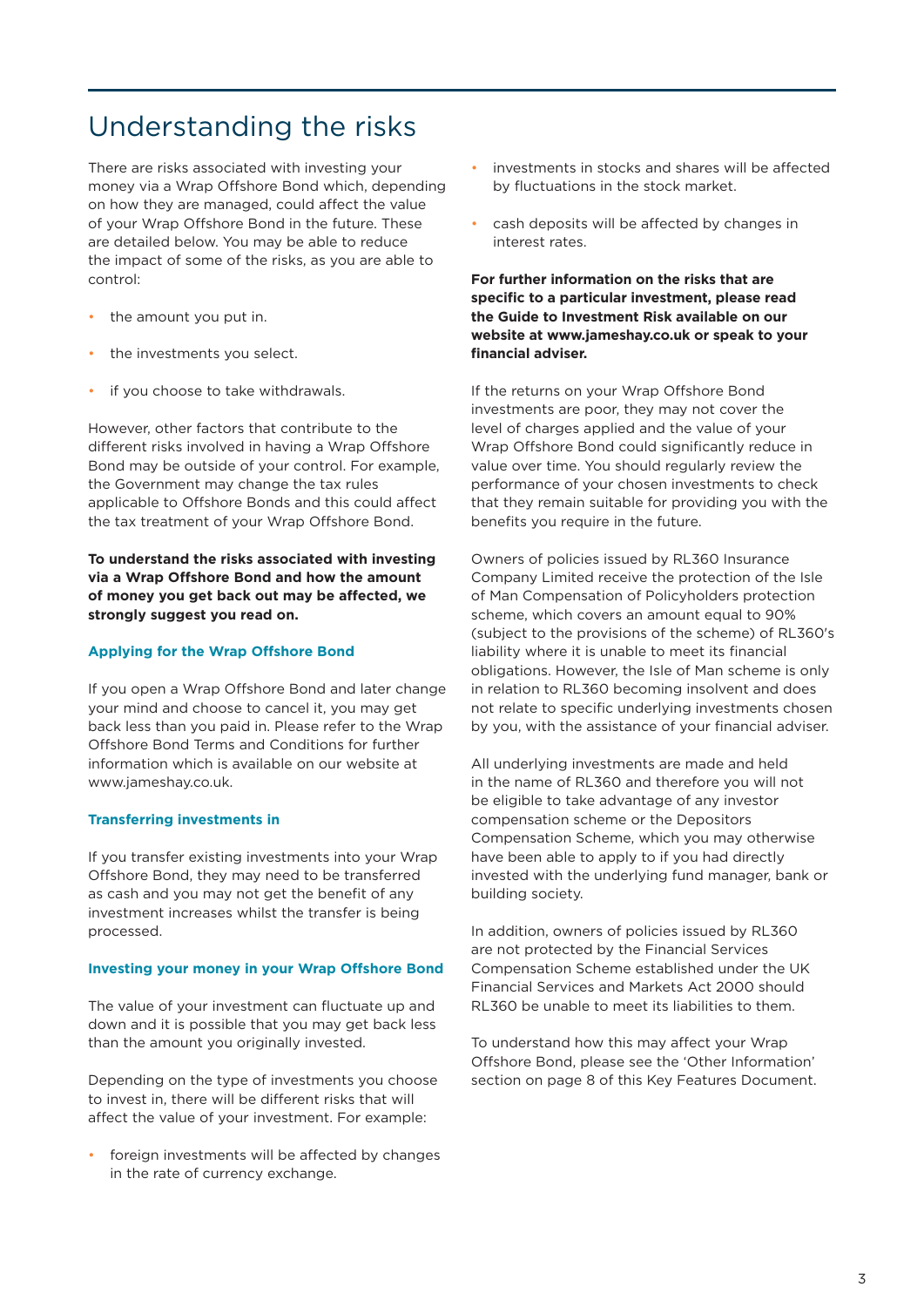# Understanding the risks

There are risks associated with investing your money via a Wrap Offshore Bond which, depending on how they are managed, could affect the value of your Wrap Offshore Bond in the future. These are detailed below. You may be able to reduce the impact of some of the risks, as you are able to control:

- the amount you put in.
- the investments you select.
- if you choose to take withdrawals.

However, other factors that contribute to the different risks involved in having a Wrap Offshore Bond may be outside of your control. For example, the Government may change the tax rules applicable to Offshore Bonds and this could affect the tax treatment of your Wrap Offshore Bond.

### **To understand the risks associated with investing via a Wrap Offshore Bond and how the amount of money you get back out may be affected, we strongly suggest you read on.**

#### **Applying for the Wrap Offshore Bond**

If you open a Wrap Offshore Bond and later change your mind and choose to cancel it, you may get back less than you paid in. Please refer to the Wrap Offshore Bond Terms and Conditions for further information which is available on our website at www.jameshay.co.uk.

#### **Transferring investments in**

If you transfer existing investments into your Wrap Offshore Bond, they may need to be transferred as cash and you may not get the benefit of any investment increases whilst the transfer is being processed.

#### **Investing your money in your Wrap Offshore Bond**

The value of your investment can fluctuate up and down and it is possible that you may get back less than the amount you originally invested.

Depending on the type of investments you choose to invest in, there will be different risks that will affect the value of your investment. For example:

foreign investments will be affected by changes in the rate of currency exchange.

- investments in stocks and shares will be affected by fluctuations in the stock market.
- cash deposits will be affected by changes in interest rates.

**For further information on the risks that are specific to a particular investment, please read the Guide to Investment Risk available on our website at www.jameshay.co.uk or speak to your financial adviser.**

If the returns on your Wrap Offshore Bond investments are poor, they may not cover the level of charges applied and the value of your Wrap Offshore Bond could significantly reduce in value over time. You should regularly review the performance of your chosen investments to check that they remain suitable for providing you with the benefits you require in the future.

Owners of policies issued by RL360 Insurance Company Limited receive the protection of the Isle of Man Compensation of Policyholders protection scheme, which covers an amount equal to 90% (subject to the provisions of the scheme) of RL360's liability where it is unable to meet its financial obligations. However, the Isle of Man scheme is only in relation to RL360 becoming insolvent and does not relate to specific underlying investments chosen by you, with the assistance of your financial adviser.

All underlying investments are made and held in the name of RL360 and therefore you will not be eligible to take advantage of any investor compensation scheme or the Depositors Compensation Scheme, which you may otherwise have been able to apply to if you had directly invested with the underlying fund manager, bank or building society.

In addition, owners of policies issued by RL360 are not protected by the Financial Services Compensation Scheme established under the UK Financial Services and Markets Act 2000 should RL360 be unable to meet its liabilities to them.

To understand how this may affect your Wrap Offshore Bond, please see the 'Other Information' section on page 8 of this Key Features Document.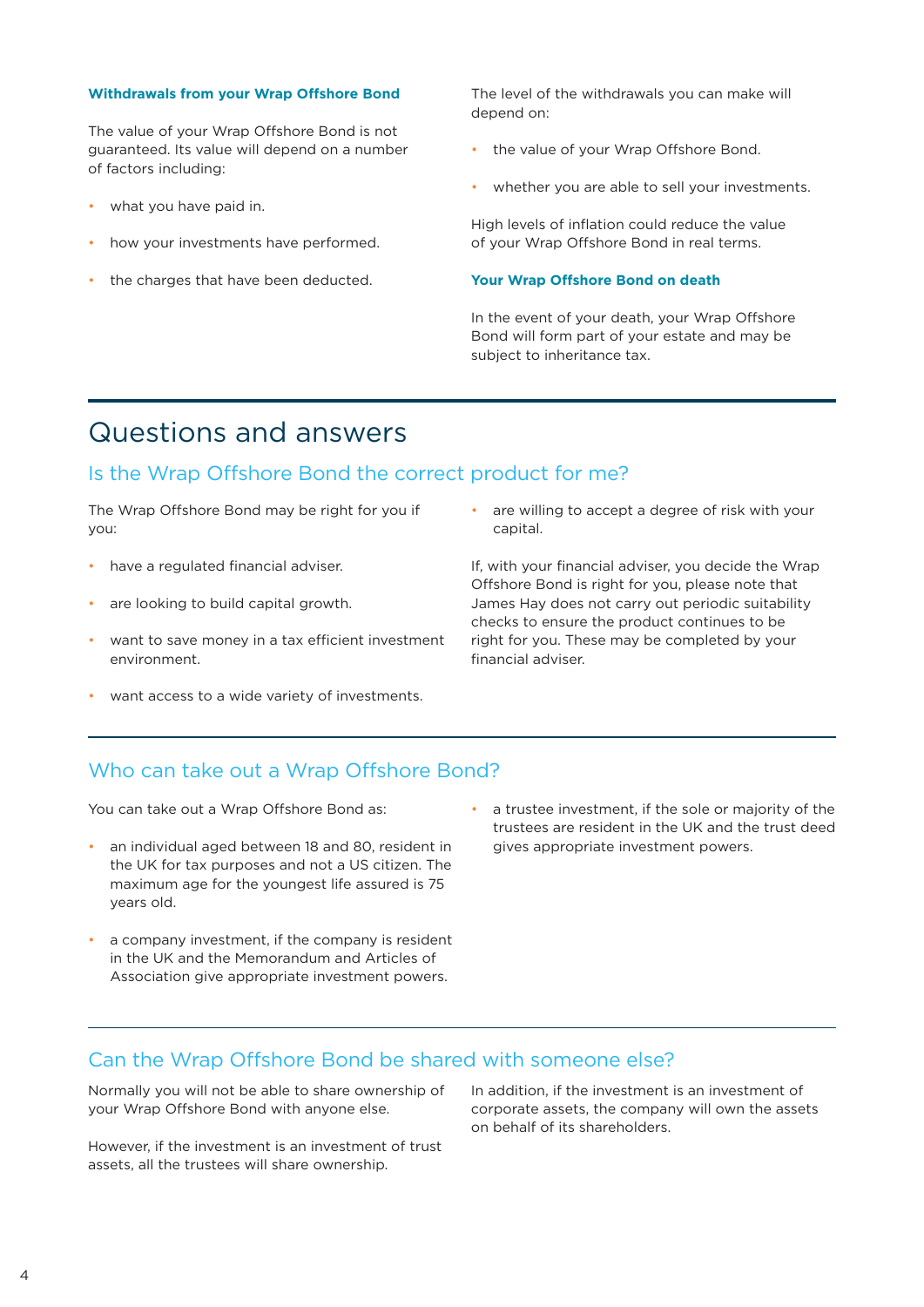#### **Withdrawals from your Wrap Offshore Bond**

The value of your Wrap Offshore Bond is not guaranteed. Its value will depend on a number of factors including:

- what you have paid in.
- how your investments have performed.
- the charges that have been deducted.

The level of the withdrawals you can make will depend on:

- the value of your Wrap Offshore Bond.
- whether you are able to sell your investments.

High levels of inflation could reduce the value of your Wrap Offshore Bond in real terms.

#### **Your Wrap Offshore Bond on death**

In the event of your death, your Wrap Offshore Bond will form part of your estate and may be subject to inheritance tax.

## Questions and answers

## Is the Wrap Offshore Bond the correct product for me?

The Wrap Offshore Bond may be right for you if you:

- have a regulated financial adviser.
- are looking to build capital growth.
- want to save money in a tax efficient investment environment.
- want access to a wide variety of investments.

• are willing to accept a degree of risk with your capital.

If, with your financial adviser, you decide the Wrap Offshore Bond is right for you, please note that James Hay does not carry out periodic suitability checks to ensure the product continues to be right for you. These may be completed by your financial adviser.

## Who can take out a Wrap Offshore Bond?

You can take out a Wrap Offshore Bond as:

- an individual aged between 18 and 80, resident in the UK for tax purposes and not a US citizen. The maximum age for the youngest life assured is 75 years old.
- a company investment, if the company is resident in the UK and the Memorandum and Articles of Association give appropriate investment powers.
- a trustee investment, if the sole or majority of the trustees are resident in the UK and the trust deed gives appropriate investment powers.

## Can the Wrap Offshore Bond be shared with someone else?

Normally you will not be able to share ownership of your Wrap Offshore Bond with anyone else.

However, if the investment is an investment of trust assets, all the trustees will share ownership.

In addition, if the investment is an investment of corporate assets, the company will own the assets on behalf of its shareholders.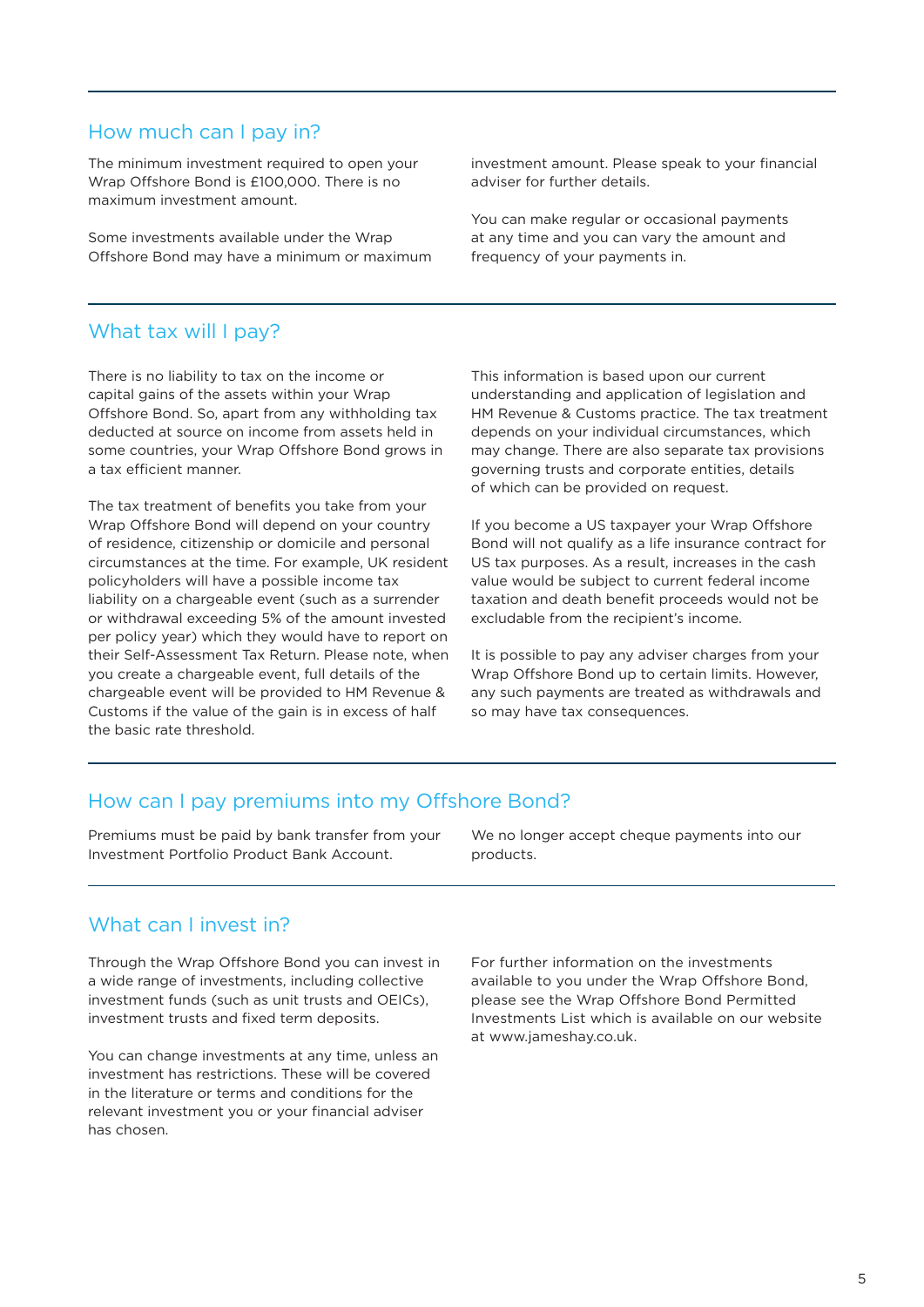## How much can I pay in?

The minimum investment required to open your Wrap Offshore Bond is £100,000. There is no maximum investment amount.

Some investments available under the Wrap Offshore Bond may have a minimum or maximum investment amount. Please speak to your financial adviser for further details.

You can make regular or occasional payments at any time and you can vary the amount and frequency of your payments in.

## What tax will I pay?

There is no liability to tax on the income or capital gains of the assets within your Wrap Offshore Bond. So, apart from any withholding tax deducted at source on income from assets held in some countries, your Wrap Offshore Bond grows in a tax efficient manner.

The tax treatment of benefits you take from your Wrap Offshore Bond will depend on your country of residence, citizenship or domicile and personal circumstances at the time. For example, UK resident policyholders will have a possible income tax liability on a chargeable event (such as a surrender or withdrawal exceeding 5% of the amount invested per policy year) which they would have to report on their Self-Assessment Tax Return. Please note, when you create a chargeable event, full details of the chargeable event will be provided to HM Revenue & Customs if the value of the gain is in excess of half the basic rate threshold.

This information is based upon our current understanding and application of legislation and HM Revenue & Customs practice. The tax treatment depends on your individual circumstances, which may change. There are also separate tax provisions governing trusts and corporate entities, details of which can be provided on request.

If you become a US taxpayer your Wrap Offshore Bond will not qualify as a life insurance contract for US tax purposes. As a result, increases in the cash value would be subject to current federal income taxation and death benefit proceeds would not be excludable from the recipient's income.

It is possible to pay any adviser charges from your Wrap Offshore Bond up to certain limits. However, any such payments are treated as withdrawals and so may have tax consequences.

## How can I pay premiums into my Offshore Bond?

Premiums must be paid by bank transfer from your Investment Portfolio Product Bank Account.

We no longer accept cheque payments into our products.

## What can I invest in?

Through the Wrap Offshore Bond you can invest in a wide range of investments, including collective investment funds (such as unit trusts and OEICs), investment trusts and fixed term deposits.

You can change investments at any time, unless an investment has restrictions. These will be covered in the literature or terms and conditions for the relevant investment you or your financial adviser has chosen.

For further information on the investments available to you under the Wrap Offshore Bond, please see the Wrap Offshore Bond Permitted Investments List which is available on our website at www.jameshay.co.uk.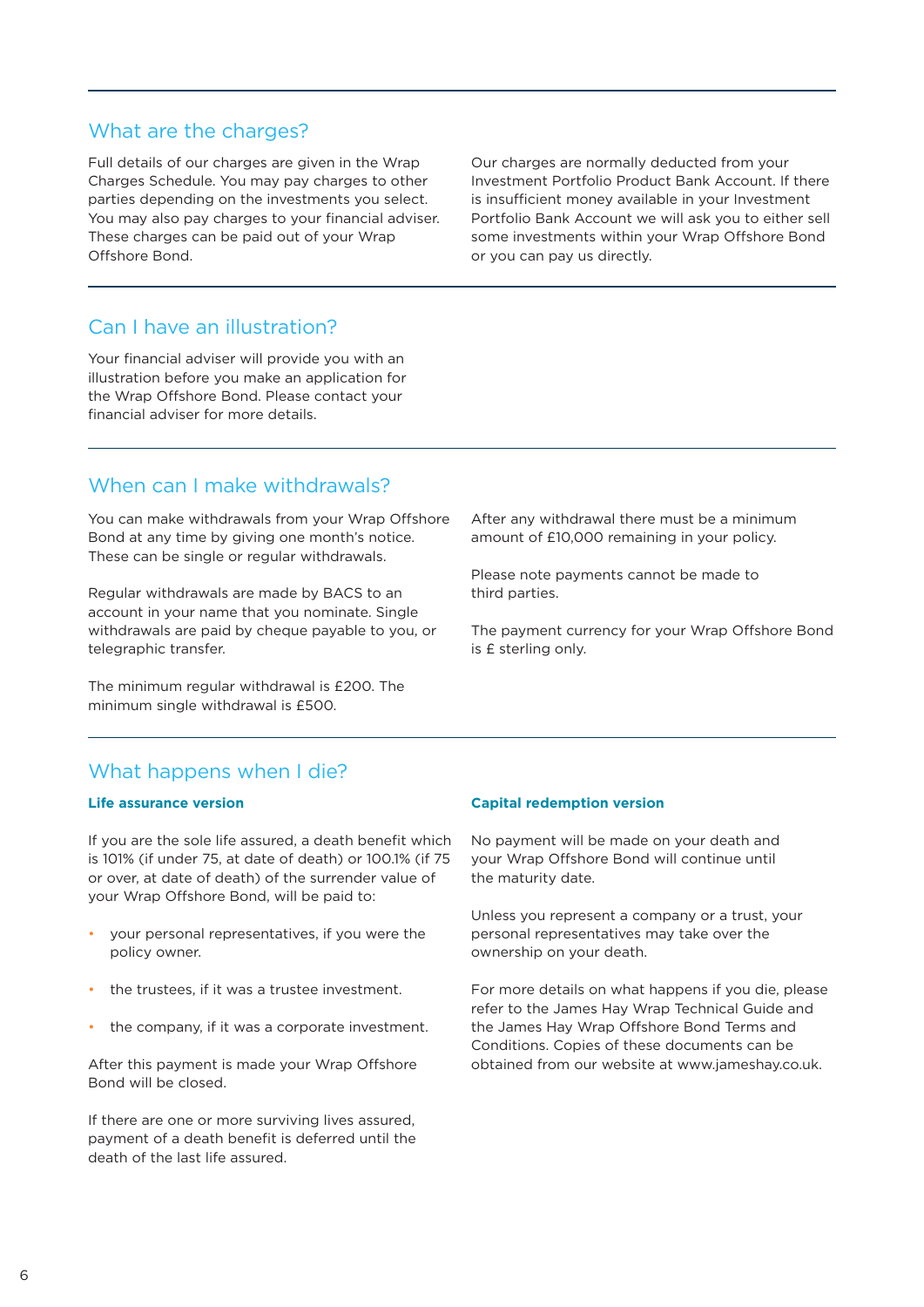## What are the charges?

Full details of our charges are given in the Wrap Charges Schedule. You may pay charges to other parties depending on the investments you select. You may also pay charges to your financial adviser. These charges can be paid out of your Wrap Offshore Bond.

Our charges are normally deducted from your Investment Portfolio Product Bank Account. If there is insufficient money available in your Investment Portfolio Bank Account we will ask you to either sell some investments within your Wrap Offshore Bond or you can pay us directly.

## Can I have an illustration?

Your financial adviser will provide you with an illustration before you make an application for the Wrap Offshore Bond. Please contact your financial adviser for more details.

## When can I make withdrawals?

You can make withdrawals from your Wrap Offshore Bond at any time by giving one month's notice. These can be single or regular withdrawals.

Regular withdrawals are made by BACS to an account in your name that you nominate. Single withdrawals are paid by cheque payable to you, or telegraphic transfer.

The minimum regular withdrawal is £200. The minimum single withdrawal is £500.

After any withdrawal there must be a minimum amount of £10,000 remaining in your policy.

Please note payments cannot be made to third parties.

The payment currency for your Wrap Offshore Bond is £ sterling only.

## What happens when I die?

#### **Life assurance version**

If you are the sole life assured, a death benefit which is 101% (if under 75, at date of death) or 100.1% (if 75 or over, at date of death) of the surrender value of your Wrap Offshore Bond, will be paid to:

- your personal representatives, if you were the policy owner.
- the trustees, if it was a trustee investment.
- the company, if it was a corporate investment.

After this payment is made your Wrap Offshore Bond will be closed.

If there are one or more surviving lives assured, payment of a death benefit is deferred until the death of the last life assured.

#### **Capital redemption version**

No payment will be made on your death and your Wrap Offshore Bond will continue until the maturity date.

Unless you represent a company or a trust, your personal representatives may take over the ownership on your death.

For more details on what happens if you die, please refer to the James Hay Wrap Technical Guide and the James Hay Wrap Offshore Bond Terms and Conditions. Copies of these documents can be obtained from our website at www.jameshay.co.uk.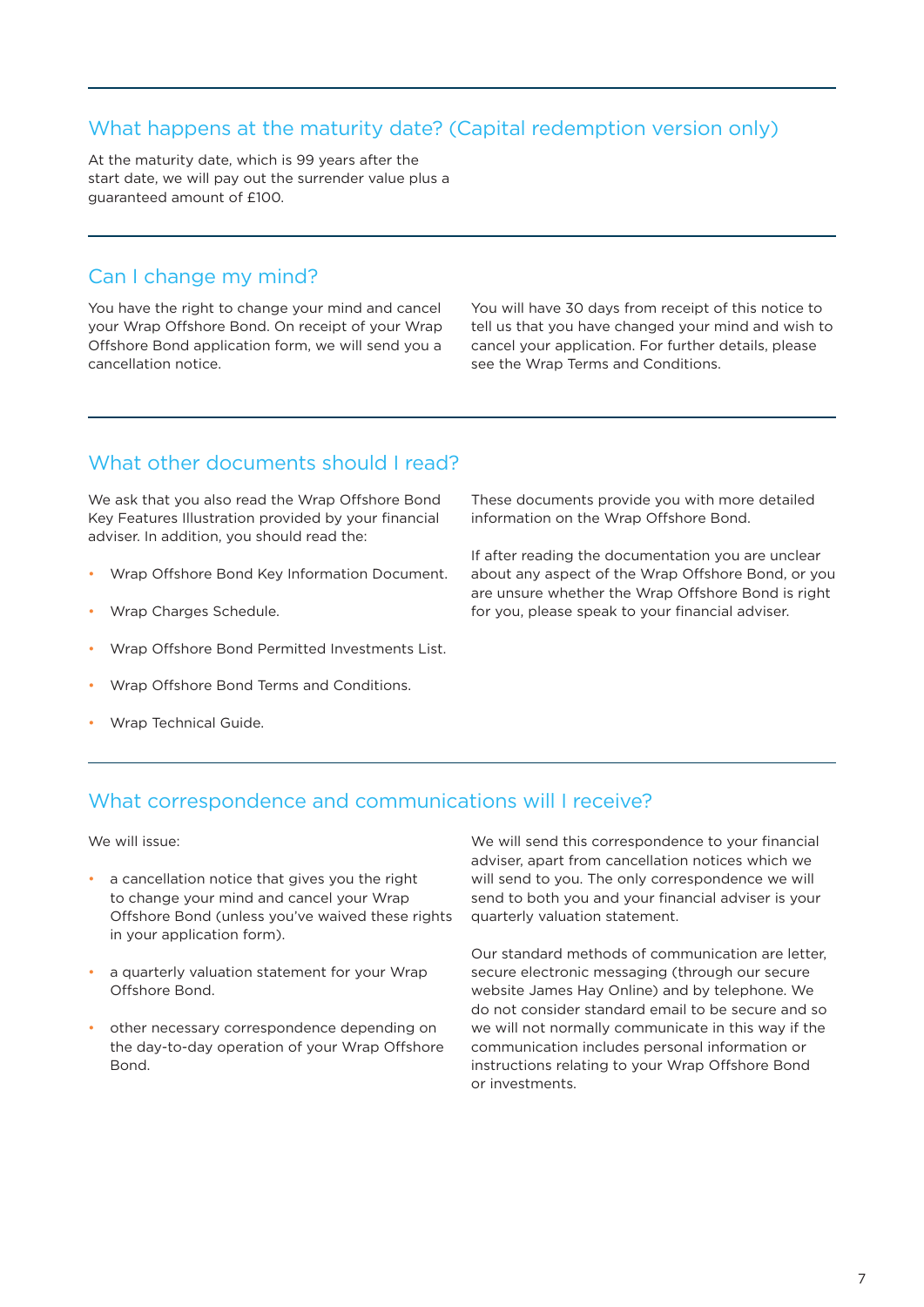## What happens at the maturity date? (Capital redemption version only)

At the maturity date, which is 99 years after the start date, we will pay out the surrender value plus a guaranteed amount of £100.

## Can I change my mind?

You have the right to change your mind and cancel your Wrap Offshore Bond. On receipt of your Wrap Offshore Bond application form, we will send you a cancellation notice.

You will have 30 days from receipt of this notice to tell us that you have changed your mind and wish to cancel your application. For further details, please see the Wrap Terms and Conditions.

## What other documents should I read?

We ask that you also read the Wrap Offshore Bond Key Features Illustration provided by your financial adviser. In addition, you should read the:

- Wrap Offshore Bond Key Information Document.
- Wrap Charges Schedule.
- Wrap Offshore Bond Permitted Investments List.
- Wrap Offshore Bond Terms and Conditions.
- Wrap Technical Guide.

These documents provide you with more detailed information on the Wrap Offshore Bond.

If after reading the documentation you are unclear about any aspect of the Wrap Offshore Bond, or you are unsure whether the Wrap Offshore Bond is right for you, please speak to your financial adviser.

## What correspondence and communications will I receive?

We will issue:

- a cancellation notice that gives you the right to change your mind and cancel your Wrap Offshore Bond (unless you've waived these rights in your application form).
- a quarterly valuation statement for your Wrap Offshore Bond.
- other necessary correspondence depending on the day-to-day operation of your Wrap Offshore **Bond**

We will send this correspondence to your financial adviser, apart from cancellation notices which we will send to you. The only correspondence we will send to both you and your financial adviser is your quarterly valuation statement.

Our standard methods of communication are letter, secure electronic messaging (through our secure website James Hay Online) and by telephone. We do not consider standard email to be secure and so we will not normally communicate in this way if the communication includes personal information or instructions relating to your Wrap Offshore Bond or investments.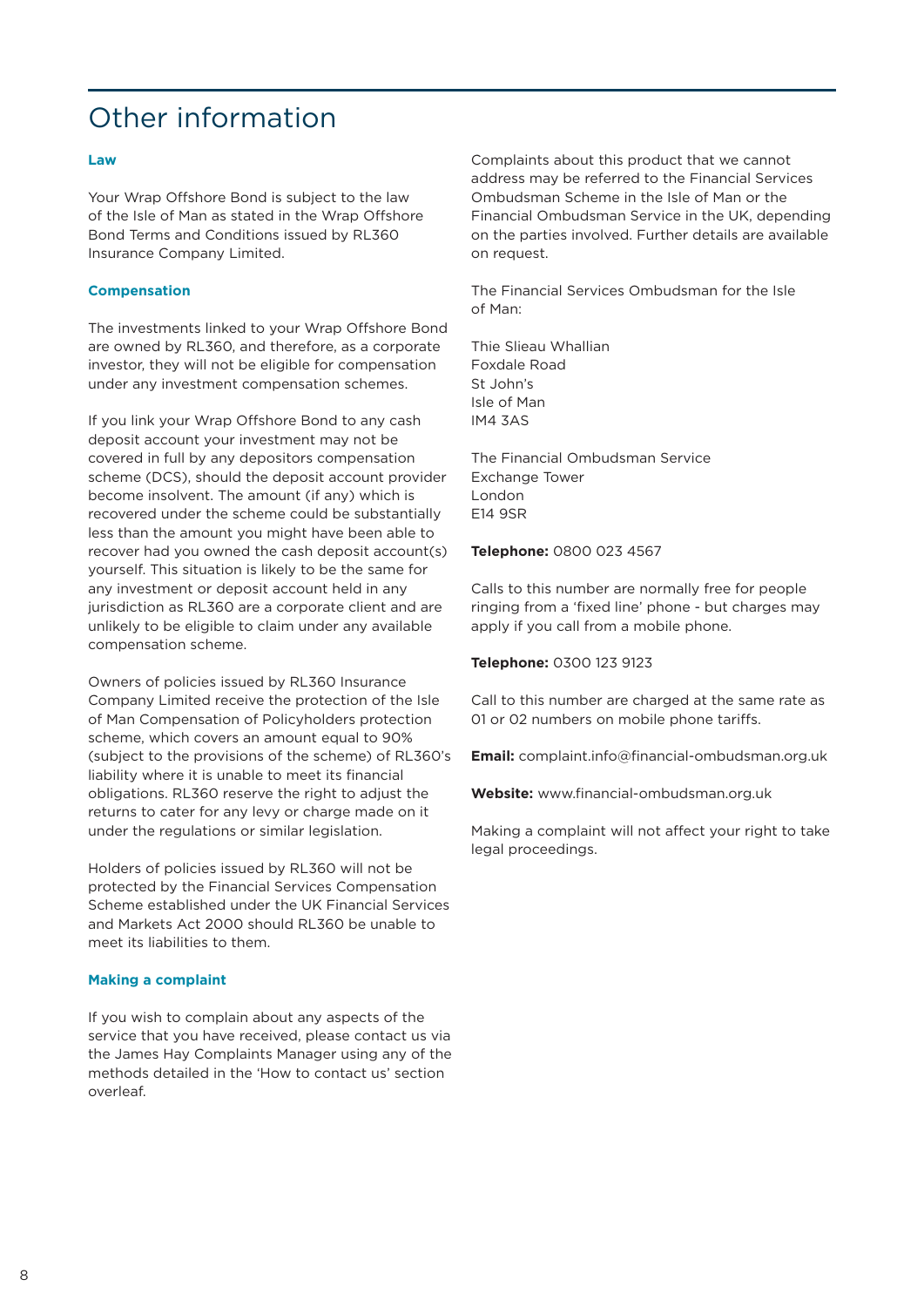# Other information

#### **Law**

Your Wrap Offshore Bond is subject to the law of the Isle of Man as stated in the Wrap Offshore Bond Terms and Conditions issued by RL360 Insurance Company Limited.

### **Compensation**

The investments linked to your Wrap Offshore Bond are owned by RL360, and therefore, as a corporate investor, they will not be eligible for compensation under any investment compensation schemes.

If you link your Wrap Offshore Bond to any cash deposit account your investment may not be covered in full by any depositors compensation scheme (DCS), should the deposit account provider become insolvent. The amount (if any) which is recovered under the scheme could be substantially less than the amount you might have been able to recover had you owned the cash deposit account(s) yourself. This situation is likely to be the same for any investment or deposit account held in any jurisdiction as RL360 are a corporate client and are unlikely to be eligible to claim under any available compensation scheme.

Owners of policies issued by RL360 Insurance Company Limited receive the protection of the Isle of Man Compensation of Policyholders protection scheme, which covers an amount equal to 90% (subject to the provisions of the scheme) of RL360's liability where it is unable to meet its financial obligations. RL360 reserve the right to adjust the returns to cater for any levy or charge made on it under the regulations or similar legislation.

Holders of policies issued by RL360 will not be protected by the Financial Services Compensation Scheme established under the UK Financial Services and Markets Act 2000 should RL360 be unable to meet its liabilities to them.

#### **Making a complaint**

If you wish to complain about any aspects of the service that you have received, please contact us via the James Hay Complaints Manager using any of the methods detailed in the 'How to contact us' section overleaf.

Complaints about this product that we cannot address may be referred to the Financial Services Ombudsman Scheme in the Isle of Man or the Financial Ombudsman Service in the UK, depending on the parties involved. Further details are available on request.

The Financial Services Ombudsman for the Isle of Man:

Thie Slieau Whallian Foxdale Road St John's Isle of Man IM4 3AS

The Financial Ombudsman Service Exchange Tower London E14 9SR

#### **Telephone:** 0800 023 4567

Calls to this number are normally free for people ringing from a 'fixed line' phone - but charges may apply if you call from a mobile phone.

#### **Telephone:** 0300 123 9123

Call to this number are charged at the same rate as 01 or 02 numbers on mobile phone tariffs.

**Email:** complaint.info@financial-ombudsman.org.uk

**Website:** www.financial-ombudsman.org.uk

Making a complaint will not affect your right to take legal proceedings.